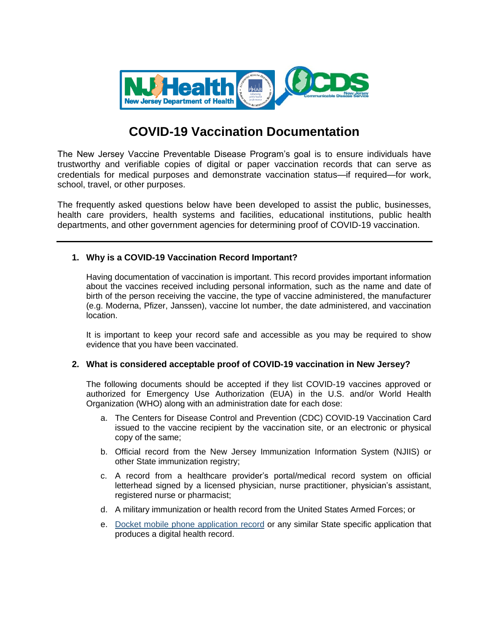

# **COVID-19 Vaccination Documentation**

The New Jersey Vaccine Preventable Disease Program's goal is to ensure individuals have trustworthy and verifiable copies of digital or paper vaccination records that can serve as credentials for medical purposes and demonstrate vaccination status—if required—for work, school, travel, or other purposes.

The frequently asked questions below have been developed to assist the public, businesses, health care providers, health systems and facilities, educational institutions, public health departments, and other government agencies for determining proof of COVID-19 vaccination.

# **1. Why is a COVID-19 Vaccination Record Important?**

Having documentation of vaccination is important. This record provides important information about the vaccines received including personal information, such as the name and date of birth of the person receiving the vaccine, the type of vaccine administered, the manufacturer (e.g. Moderna, Pfizer, Janssen), vaccine lot number, the date administered, and vaccination location.

It is important to keep your record safe and accessible as you may be required to show evidence that you have been vaccinated.

#### **2. What is considered acceptable proof of COVID-19 vaccination in New Jersey?**

The following documents should be accepted if they list COVID-19 vaccines approved or authorized for Emergency Use Authorization (EUA) in the U.S. and/or World Health Organization (WHO) along with an administration date for each dose:

- a. The Centers for Disease Control and Prevention (CDC) COVID-19 Vaccination Card issued to the vaccine recipient by the vaccination site, or an electronic or physical copy of the same;
- b. Official record from the New Jersey Immunization Information System (NJIIS) or other State immunization registry;
- c. A record from a healthcare provider's portal/medical record system on official letterhead signed by a licensed physician, nurse practitioner, physician's assistant, registered nurse or pharmacist;
- d. A military immunization or health record from the United States Armed Forces; or
- e. [Docket mobile phone application record](https://www.nj.gov/health/news/2021/approved/20210712a.shtml) or any similar State specific application that produces a digital health record.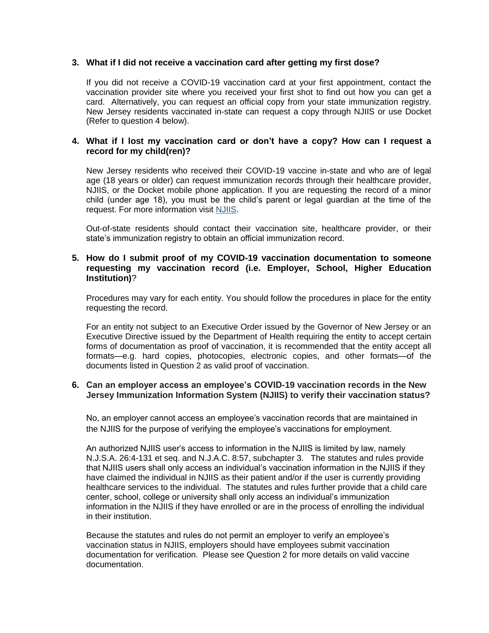## **3. What if I did not receive a vaccination card after getting my first dose?**

If you did not receive a COVID-19 vaccination card at your first appointment, contact the vaccination provider site where you received your first shot to find out how you can get a card. Alternatively, you can request an official copy from your state immunization registry. New Jersey residents vaccinated in-state can request a copy through NJIIS or use Docket (Refer to question 4 below).

## **4. What if I lost my vaccination card or don't have a copy? How can I request a record for my child(ren)?**

New Jersey residents who received their COVID-19 vaccine in-state and who are of legal age (18 years or older) can request immunization records through their healthcare provider, NJIIS, or the Docket mobile phone application. If you are requesting the record of a minor child (under age 18), you must be the child's parent or legal guardian at the time of the request. For more information visit [NJIIS.](https://njiis.nj.gov/core/web/index.html#/requestImmunizationRecord)

Out-of-state residents should contact their vaccination site, healthcare provider, or their state's immunization registry to obtain an official immunization record.

## **5. How do I submit proof of my COVID-19 vaccination documentation to someone requesting my vaccination record (i.e. Employer, School, Higher Education Institution)**?

Procedures may vary for each entity. You should follow the procedures in place for the entity requesting the record.

For an entity not subject to an Executive Order issued by the Governor of New Jersey or an Executive Directive issued by the Department of Health requiring the entity to accept certain forms of documentation as proof of vaccination, it is recommended that the entity accept all formats—e.g. hard copies, photocopies, electronic copies, and other formats—of the documents listed in Question 2 as valid proof of vaccination.

#### **6. Can an employer access an employee's COVID-19 vaccination records in the New Jersey Immunization Information System (NJIIS) to verify their vaccination status?**

No, an employer cannot access an employee's vaccination records that are maintained in the NJIIS for the purpose of verifying the employee's vaccinations for employment.

An authorized NJIIS user's access to information in the NJIIS is limited by law, namely N.J.S.A. 26:4-131 et seq. and N.J.A.C. 8:57, subchapter 3. The statutes and rules provide that NJIIS users shall only access an individual's vaccination information in the NJIIS if they have claimed the individual in NJIIS as their patient and/or if the user is currently providing healthcare services to the individual. The statutes and rules further provide that a child care center, school, college or university shall only access an individual's immunization information in the NJIIS if they have enrolled or are in the process of enrolling the individual in their institution.

Because the statutes and rules do not permit an employer to verify an employee's vaccination status in NJIIS, employers should have employees submit vaccination documentation for verification. Please see Question 2 for more details on valid vaccine documentation.